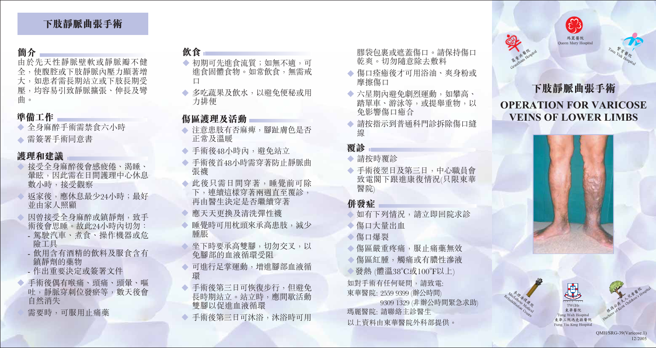# 下肢靜脈曲張手術

# 簡介

由於先天性靜脈壁軟或靜脈瓣不健 全,使腹腔或下肢靜脈內壓力顯著增 大,如患者需長期站立或下肢長期受 壓,均容易引致靜脈擴張、伸長及彎 曲。

### 準備工作

◆ 全身麻醉手術需禁食六小時 ◆ 需簽署手術同意書

## 護理和建議

- ◆ 接受全身麻醉後會感疲倦、渴睡、 量眩,因此需在日間護理中心休息 數小時,接受觀察
- 扳家後, 應休息最少24小時; 最好 並由家人照顧
- 因曾接受全身麻醉或鎮靜劑, 致手 術後會思睡。故此24小時內切勿: - 駕駛汽車、煮食、操作機器或危
- 險工具
- 飲用含有酒精的飲料及服食含有 鎮靜劑的藥物
- 作出重要決定或簽署文件
- ◆ 手術後偶有喉痛、頭痛、頭暈、嘔 吐,靜脈穿刺位發瘀等,數天後會 自然消失
	- 需要時,可服用止痛藥

### 飲食

- ◆ 初期可先進食流質;如無不適,可 **進食固體食物。如常飲食,無需戒**  $\Box$
- ◆ 多吃蔬果及飲水,以避免便秘或用 力排便

### 傷區護理及活動

- ◆ 注意患肢有否麻痺, 腳趾膚色是否 正常及溫暖
- ◆ 手術後48小時內, 擗免站立
- ◆ 手術後首48小時需穿著防止靜脈曲 張襪
- ◆ 此後只需日間穿著,睡覺前可除 下,連續這樣穿著兩週直至覆診, 再由醫生決定是否繼續穿著
- 應天天更換及清洗彈性襪
- ◆ 睡覺時可用枕頭來承高患肢,減少 腫脹
- ◆ 坐下時要承高雙腳,切勿交叉,以 免腳部的血液循環受阻
- ◆ 可進行足掌運動,增進腳部血液循 環
- ◆ 手術後第三日可恢復步行, 但澼免 長時期站立。站立時,應間歇活動 雙腳以促進血液循環
- 手術後第三日可沐浴,沐浴時可用
- 膠袋包裹或遮蓋傷口。請保持傷口 乾爽。切勿隨意除去敷料
- ◆ 傷口痊癒後才可用浴油、爽身粉或 摩擦傷口
- ◆ 六星期內避免劇烈運動, 如攀高、 踏單車、游泳等,或提舉重物,以 免影響傷口癒合
- 請按指示到普通科門診拆除傷口縫 線

### 覆診

- 請按時覆診
- ◆ 手術後翌日及第三日,中心職員會 致電閣下跟進康復情況(只限東華 醫院)

### 併發症

- 如有下列情況,請立即回院求診
- ◆傷口大量出血
- 傷口爆裂
- ◆ 傷區嚴重疼痛, 服止痛藥無效 ◆ 傷區紅腫, 觸痛或有膿性滲液 發熱 (體溫38°C或100°F以上) 如對手術有任何疑問,請致電:
- 東華醫院: 2559 9399 (辦公時間) 9309 1329 (非辦公時間緊急求助) 瑪麗醫院: 請聯絡主診醫生

以上資料由東華醫院外科部提供。



# **OPERATION FOR VARICOSE VEINS OF LOWER LIMBS**





TO